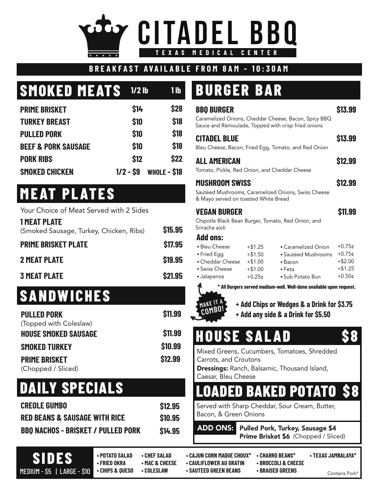# **CITADEL BBQ AS MEDICAL**

#### **BREAKFAST AVAILABLE FROM 8AM - 10:30AM**

# **SMOKED MEATS**

| <b>PRIME BRISKET</b>           | \$14       | \$28         |
|--------------------------------|------------|--------------|
| <b>TURKEY BREAST</b>           | \$10       | \$18         |
| <b>PULLED PORK</b>             | \$10       | \$18         |
| <b>BEEF &amp; PORK SAUSAGE</b> | \$10       | \$18         |
| <b>PORK RIBS</b>               | \$12       | \$22         |
| <b>SMOKED CHICKEN</b>          | $1/2 - S9$ | WHOLE - \$18 |

## **MEAT PLATES**

| <b>2 MEAT PLATE</b>                                            | <b>\$19.95</b> |
|----------------------------------------------------------------|----------------|
| <b>PRIME BRISKET PLATE</b>                                     | \$17.95        |
| <b>1 MEAT PLATE</b><br>(Smoked Sausage, Turkey, Chicken, Ribs) | <b>\$15.95</b> |
| Your Choice of Meat Served with 2 Sides                        |                |

#### **3 MEAT PLATE \$21.95**

# **SANDWICHES**

| <b>PULLED PORK</b>          | <b>\$11.99</b> |
|-----------------------------|----------------|
| (Topped with Coleslaw)      |                |
| <b>HOUSE SMOKED SAUSAGE</b> | <b>\$11.99</b> |
| <b>SMOKED TURKEY</b>        | \$10.99        |
| <b>PRIME BRISKET</b>        | \$12.99        |
| (Chopped / Sliced)          |                |

### **DAILY SPECIALS**

| <b>CREOLE GUMBO</b>                       | \$12.95        |
|-------------------------------------------|----------------|
| <b>RED BEANS &amp; SAUSAGE WITH RICE</b>  | \$10.95        |
| <b>BBO NACHOS - BRISKET / PULLED PORK</b> | <b>\$14.95</b> |

# **1/2 lb 1 lb BURGER BAR**

| <b>BBO BURGER</b><br>Sauce and Rémoulade, Topped with crisp fried onions                             |                                                              | Caramelized Onions, Cheddar Cheese, Bacon, Spicy BBQ                                        | \$13.99                                                     |
|------------------------------------------------------------------------------------------------------|--------------------------------------------------------------|---------------------------------------------------------------------------------------------|-------------------------------------------------------------|
| <b>CITADEL BLUE</b>                                                                                  |                                                              | Bleu Cheese, Bacon, Fried Egg, Tomato, and Red Onion                                        | \$13.99                                                     |
| ALL AMERICAN<br>Tomato, Pickle, Red Onion, and Cheddar Cheese                                        |                                                              |                                                                                             | \$12.99                                                     |
| <b>MUSHROOM SWISS</b><br>& Mayo served on toasted White Bread                                        |                                                              | Sautéed Mushrooms, Caramelized Onions, Swiss Cheese                                         | \$12.99                                                     |
| Vegan Burger<br>Chipotle Black Bean Burger, Tomato, Red Onion, and<br>Sriracha aioli                 |                                                              |                                                                                             | \$11.99                                                     |
| <b>Add ons:</b><br>• Bleu Cheese<br>• Fried Egg<br>• Cheddar Cheese<br>• Swiss Cheese<br>• Jalapenos | $+ $1.25$<br>$+ $1.50$<br>$+ $1.00$<br>$+ $1.00$<br>$+0.25c$ | • Caramelized Onion<br>• Sautéed Mushrooms<br>• Bacon<br>$\bullet$ Feta<br>• Sub Potato Bun | $+0.75c$<br>$+0.75c$<br>$+$ \$2.00<br>$+ $1.25$<br>$+0.500$ |



**MAKE COMBO!** **+ Add Chips or Wedges & a Drink for \$3.75 + Add any side & a Drink for \$5.50**

### **HOUSE SALAD \$ 8**

Mixed Greens, Cucumbers, Tomatoes, Shredded Carrots, and Croutons

Dressings: Ranch, Balsamic, Thousand Island, Caesar, Bleu Cheese

### **DED BAKED POTATO**

Served with Sharp Cheddar, Sour Cream, Butter, Bacon, & Green Onions

ADD ONS: Pulled Pork, Turkey, Sausage \$4 Prime Brisket \$6 (Chopped / Sliced)

**SIDES**

**• POTATO SALAD • CHEF SALAD • CAJUN CORN MAQUE CHOUX\* • CHARRO BEANS\* • TEXAS JAMBALAYA\* • CHIPS & QUESO • COLESLAW • SAUTEED GREEN BEANS • BRAISED GREENS MEDIUM - \$5 | LARGE - \$10 | CHIPS & QUESO | COLESLAW | SAUTEED GREEN BEANS | BRAISED GREENS** 

**• FRIED OKRA • MAC & CHEESE • CAULIFLOWER AU GRATIN • BROCCOLI & CHEESE** 

- -
- 
-